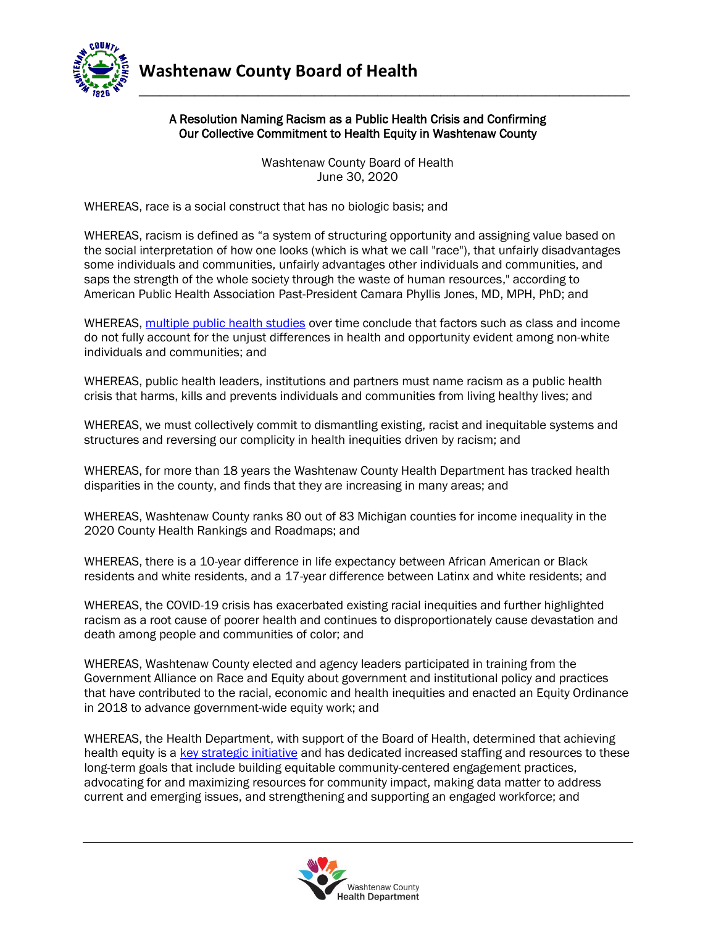

## A Resolution Naming Racism as a Public Health Crisis and Confirming Our Collective Commitment to Health Equity in Washtenaw County

**\_\_\_\_\_\_\_\_\_\_\_\_\_\_\_\_\_\_\_\_\_\_\_\_\_\_\_\_\_\_\_\_\_\_\_\_\_\_\_\_\_\_\_\_\_\_\_\_\_\_\_\_\_\_\_\_\_\_\_\_\_\_\_\_\_\_\_\_\_\_**

Washtenaw County Board of Health June 30, 2020

WHEREAS, race is a social construct that has no biologic basis; and

WHEREAS, racism is defined as "a system of structuring opportunity and assigning value based on the social interpretation of how one looks (which is what we call "race"), that unfairly disadvantages some individuals and communities, unfairly advantages other individuals and communities, and saps the strength of the whole society through the waste of human resources," according to American Public Health Association Past-President Camara Phyllis Jones, MD, MPH, PhD; and

WHEREAS, [multiple public health studies](https://www.ncbi.nlm.nih.gov/pmc/articles/PMC1113412/) over time conclude that factors such as class and income do not fully account for the unjust differences in health and opportunity evident among non-white individuals and communities; and

WHEREAS, public health leaders, institutions and partners must name racism as a public health crisis that harms, kills and prevents individuals and communities from living healthy lives; and

WHEREAS, we must collectively commit to dismantling existing, racist and inequitable systems and structures and reversing our complicity in health inequities driven by racism; and

WHEREAS, for more than 18 years the Washtenaw County Health Department has tracked health disparities in the county, and finds that they are increasing in many areas; and

WHEREAS, Washtenaw County ranks 80 out of 83 Michigan counties for income inequality in the 2020 County Health Rankings and Roadmaps; and

WHEREAS, there is a 10-year difference in life expectancy between African American or Black residents and white residents, and a 17-year difference between Latinx and white residents; and

WHEREAS, the COVID-19 crisis has exacerbated existing racial inequities and further highlighted racism as a root cause of poorer health and continues to disproportionately cause devastation and death among people and communities of color; and

WHEREAS, Washtenaw County elected and agency leaders participated in training from the Government Alliance on Race and Equity about government and institutional policy and practices that have contributed to the racial, economic and health inequities and enacted an Equity Ordinance in 2018 to advance government-wide equity work; and

WHEREAS, the Health Department, with support of the Board of Health, determined that achieving health equity is a [key strategic initiative](https://www.washtenaw.org/DocumentCenter/View/5429/2020-2014-Strategic-Plan-PDF?bidId=) and has dedicated increased staffing and resources to these long-term goals that include building equitable community-centered engagement practices, advocating for and maximizing resources for community impact, making data matter to address current and emerging issues, and strengthening and supporting an engaged workforce; and